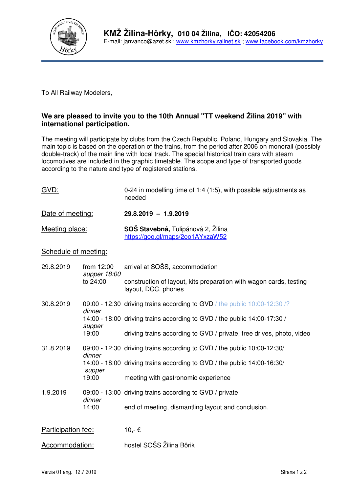

To All Railway Modelers,

## **We are pleased to invite you to the 10th Annual "TT weekend Žilina 2019" with international participation.**

The meeting will participate by clubs from the Czech Republic, Poland, Hungary and Slovakia. The main topic is based on the operation of the trains, from the period after 2006 on monorail (possibly double-track) of the main line with local track. The special historical train cars with steam locomotives are included in the graphic timetable. The scope and type of transported goods according to the nature and type of registered stations.

| GVD:                 |                                        | 0-24 in modelling time of 1:4 (1:5), with possible adjustments as<br>needed               |
|----------------------|----------------------------------------|-------------------------------------------------------------------------------------------|
| Date of meeting:     |                                        | 29.8.2019 - 1.9.2019                                                                      |
| Meeting place:       |                                        | SOŠ Stavebná, Tulipánová 2, Žilina<br>https://goo.gl/maps/2oo1AYxzaW52                    |
| Schedule of meeting: |                                        |                                                                                           |
| 29.8.2019            | from 12:00<br>supper 18:00<br>to 24:00 | arrival at SOSS, accommodation                                                            |
|                      |                                        | construction of layout, kits preparation with wagon cards, testing<br>layout, DCC, phones |
| 30.8.2019            | dinner                                 | 09:00 - 12:30 driving trains according to GVD / the public 10:00-12:30 /?                 |
|                      | supper                                 | 14:00 - 18:00 driving trains according to GVD / the public 14:00-17:30 /                  |
|                      | 19:00                                  | driving trains according to GVD / private, free drives, photo, video                      |

- 31.8.2019 09:00 12:30 driving trains according to GVD / the public 10:00-12:30/ dinner 14:00 - 18:00 driving trains according to GVD / the public 14:00-16:30/ supper 19:00 meeting with gastronomic experience
- 1.9.2019 09:00 13:00 driving trains according to GVD / private dinner<br>14:00 end of meeting, dismantling layout and conclusion.

| Participation fee:<br>10,- € |
|------------------------------|
|------------------------------|

Accommodation: hostel SOŠS Žilina Bôrik